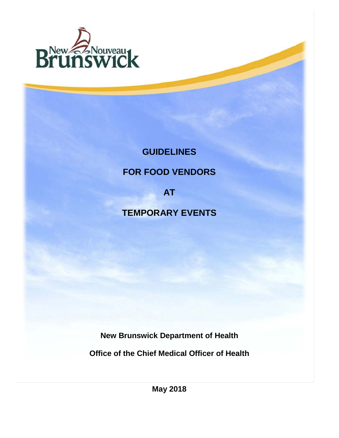

# **GUIDELINES**

# **FOR FOOD VENDORS**

**AT**

# **TEMPORARY EVENTS**

**New Brunswick Department of Health**

**Office of the Chief Medical Officer of Health**

**May 2018**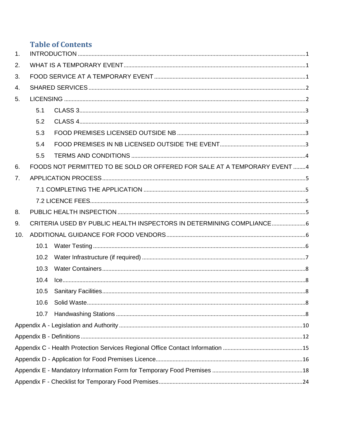# **Table of Contents**

| 1.  |      |                                                                           |  |  |  |  |  |  |
|-----|------|---------------------------------------------------------------------------|--|--|--|--|--|--|
| 2.  |      |                                                                           |  |  |  |  |  |  |
| 3.  |      |                                                                           |  |  |  |  |  |  |
| 4.  |      |                                                                           |  |  |  |  |  |  |
| 5.  |      |                                                                           |  |  |  |  |  |  |
|     | 5.1  |                                                                           |  |  |  |  |  |  |
|     | 5.2  |                                                                           |  |  |  |  |  |  |
|     | 5.3  |                                                                           |  |  |  |  |  |  |
|     | 5.4  |                                                                           |  |  |  |  |  |  |
|     | 5.5  |                                                                           |  |  |  |  |  |  |
| 6.  |      | FOODS NOT PERMITTED TO BE SOLD OR OFFERED FOR SALE AT A TEMPORARY EVENT 4 |  |  |  |  |  |  |
| 7.  |      |                                                                           |  |  |  |  |  |  |
|     |      |                                                                           |  |  |  |  |  |  |
|     |      |                                                                           |  |  |  |  |  |  |
| 8.  |      |                                                                           |  |  |  |  |  |  |
| 9.  |      | CRITERIA USED BY PUBLIC HEALTH INSPECTORS IN DETERMINING COMPLIANCE6      |  |  |  |  |  |  |
| 10. |      |                                                                           |  |  |  |  |  |  |
|     | 10.1 |                                                                           |  |  |  |  |  |  |
|     | 10.2 |                                                                           |  |  |  |  |  |  |
|     | 10.3 |                                                                           |  |  |  |  |  |  |
|     | 10.4 |                                                                           |  |  |  |  |  |  |
|     | 10.5 |                                                                           |  |  |  |  |  |  |
|     | 10.6 |                                                                           |  |  |  |  |  |  |
|     | 10.7 |                                                                           |  |  |  |  |  |  |
|     |      |                                                                           |  |  |  |  |  |  |
|     |      |                                                                           |  |  |  |  |  |  |
|     |      |                                                                           |  |  |  |  |  |  |
|     |      |                                                                           |  |  |  |  |  |  |
|     |      |                                                                           |  |  |  |  |  |  |
|     |      |                                                                           |  |  |  |  |  |  |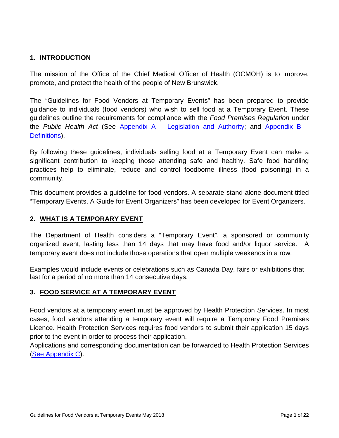#### <span id="page-2-0"></span>**1. INTRODUCTION**

The mission of the Office of the Chief Medical Officer of Health (OCMOH) is to improve, promote, and protect the health of the people of New Brunswick.

The "Guidelines for Food Vendors at Temporary Events" has been prepared to provide guidance to individuals (food vendors) who wish to sell food at a Temporary Event. These guidelines outline the requirements for compliance with the *Food Premises Regulation* under the *Public Health Act* (See Appendix A – [Legislation and Authority;](#page-11-0) and [Appendix B](#page-13-0) – [Definitions\)](#page-13-0).

By following these guidelines, individuals selling food at a Temporary Event can make a significant contribution to keeping those attending safe and healthy. Safe food handling practices help to eliminate, reduce and control foodborne illness (food poisoning) in a community.

This document provides a guideline for food vendors. A separate stand-alone document titled "Temporary Events, A Guide for Event Organizers" has been developed for Event Organizers.

#### <span id="page-2-1"></span>**2. WHAT IS A TEMPORARY EVENT**

The Department of Health considers a "Temporary Event", a sponsored or community organized event, lasting less than 14 days that may have food and/or liquor service. A temporary event does not include those operations that open multiple weekends in a row.

Examples would include events or celebrations such as Canada Day, fairs or exhibitions that last for a period of no more than 14 consecutive days.

#### <span id="page-2-2"></span>**3. FOOD SERVICE AT A TEMPORARY EVENT**

Food vendors at a temporary event must be approved by Health Protection Services. In most cases, food vendors attending a temporary event will require a Temporary Food Premises Licence. Health Protection Services requires food vendors to submit their application 15 days prior to the event in order to process their application.

Applications and corresponding documentation can be forwarded to Health Protection Services [\(See Appendix C\).](#page-16-0)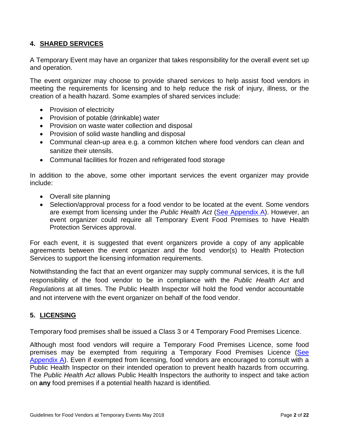#### <span id="page-3-0"></span>**4. SHARED SERVICES**

A Temporary Event may have an organizer that takes responsibility for the overall event set up and operation.

The event organizer may choose to provide shared services to help assist food vendors in meeting the requirements for licensing and to help reduce the risk of injury, illness, or the creation of a health hazard. Some examples of shared services include:

- Provision of electricity
- Provision of potable (drinkable) water
- Provision on waste water collection and disposal
- Provision of solid waste handling and disposal
- Communal clean-up area e.g. a common kitchen where food vendors can clean and sanitize their utensils.
- Communal facilities for frozen and refrigerated food storage

In addition to the above, some other important services the event organizer may provide include:

- Overall site planning
- Selection/approval process for a food vendor to be located at the event. Some vendors are exempt from licensing under the *Public Health Act* [\(See Appendix A\)](#page-11-0). However, an event organizer could require all Temporary Event Food Premises to have Health Protection Services approval.

For each event, it is suggested that event organizers provide a copy of any applicable agreements between the event organizer and the food vendor(s) to Health Protection Services to support the licensing information requirements.

Notwithstanding the fact that an event organizer may supply communal services, it is the full responsibility of the food vendor to be in compliance with the *Public Health Act* and *Regulations* at all times. The Public Health Inspector will hold the food vendor accountable and not intervene with the event organizer on behalf of the food vendor.

#### <span id="page-3-1"></span>**5. LICENSING**

Temporary food premises shall be issued a Class 3 or 4 Temporary Food Premises Licence.

Although most food vendors will require a Temporary Food Premises Licence, some food premises may be exempted from requiring a Temporary Food Premises Licence (See [Appendix A\)](#page-11-0). Even if exempted from licensing, food vendors are encouraged to consult with a Public Health Inspector on their intended operation to prevent health hazards from occurring. The *Public Health Act* allows Public Health Inspectors the authority to inspect and take action on **any** food premises if a potential health hazard is identified.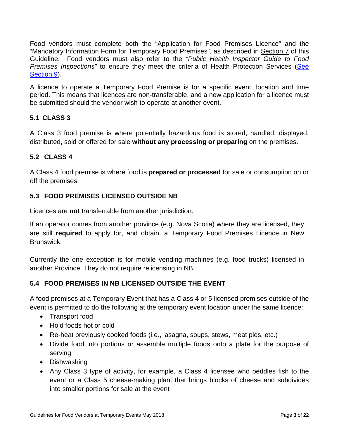Food vendors must complete both the "Application for Food Premises Licence" and the "Mandatory Information Form for Temporary Food Premises", as described in [Section 7](#page-6-0) of this Guideline. Food vendors must also refer to the *"Public Health Inspector Guide to Food Premises Inspections"* to ensure they meet the criteria of Health Protection Services [\(See](#page-7-0)  [Section 9\)](#page-7-0).

A licence to operate a Temporary Food Premise is for a specific event, location and time period. This means that licences are non-transferable, and a new application for a licence must be submitted should the vendor wish to operate at another event.

### <span id="page-4-0"></span>**5.1 CLASS 3**

A Class 3 food premise is where potentially hazardous food is stored, handled, displayed, distributed, sold or offered for sale **without any processing or preparing** on the premises.

#### <span id="page-4-1"></span>**5.2 CLASS 4**

A Class 4 food premise is where food is **prepared or processed** for sale or consumption on or off the premises.

#### <span id="page-4-2"></span>**5.3 FOOD PREMISES LICENSED OUTSIDE NB**

Licences are **not** transferrable from another jurisdiction.

If an operator comes from another province (e.g. Nova Scotia) where they are licensed, they are still **required** to apply for, and obtain, a Temporary Food Premises Licence in New Brunswick.

Currently the one exception is for mobile vending machines (e.g. food trucks) licensed in another Province. They do not require relicensing in NB.

### <span id="page-4-3"></span>**5.4 FOOD PREMISES IN NB LICENSED OUTSIDE THE EVENT**

A food premises at a Temporary Event that has a Class 4 or 5 licensed premises outside of the event is permitted to do the following at the temporary event location under the same licence:

- Transport food
- Hold foods hot or cold
- Re-heat previously cooked foods (i.e., lasagna, soups, stews, meat pies, etc.)
- Divide food into portions or assemble multiple foods onto a plate for the purpose of serving
- Dishwashing
- Any Class 3 type of activity, for example, a Class 4 licensee who peddles fish to the event or a Class 5 cheese-making plant that brings blocks of cheese and subdivides into smaller portions for sale at the event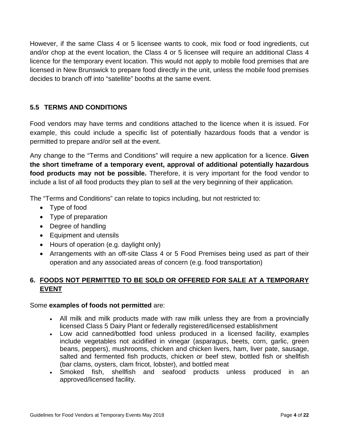However, if the same Class 4 or 5 licensee wants to cook, mix food or food ingredients, cut and/or chop at the event location, the Class 4 or 5 licensee will require an additional Class 4 licence for the temporary event location. This would not apply to mobile food premises that are licensed in New Brunswick to prepare food directly in the unit, unless the mobile food premises decides to branch off into "satellite" booths at the same event.

### <span id="page-5-0"></span>**5.5 TERMS AND CONDITIONS**

Food vendors may have terms and conditions attached to the licence when it is issued. For example, this could include a specific list of potentially hazardous foods that a vendor is permitted to prepare and/or sell at the event.

Any change to the "Terms and Conditions" will require a new application for a licence. **Given the short timeframe of a temporary event, approval of additional potentially hazardous food products may not be possible.** Therefore, it is very important for the food vendor to include a list of all food products they plan to sell at the very beginning of their application.

The "Terms and Conditions" can relate to topics including, but not restricted to:

- Type of food
- Type of preparation
- Degree of handling
- Equipment and utensils
- Hours of operation (e.g. daylight only)
- Arrangements with an off-site Class 4 or 5 Food Premises being used as part of their operation and any associated areas of concern (e.g. food transportation)

### <span id="page-5-1"></span>**6. FOODS NOT PERMITTED TO BE SOLD OR OFFERED FOR SALE AT A TEMPORARY EVENT**

#### Some **examples of foods not permitted** are:

- All milk and milk products made with raw milk unless they are from a provincially licensed Class 5 Dairy Plant or federally registered/licensed establishment
- Low acid canned/bottled food unless produced in a licensed facility, examples include vegetables not acidified in vinegar (asparagus, beets, corn, garlic, green beans, peppers), mushrooms, chicken and chicken livers, ham, liver pate, sausage, salted and fermented fish products, chicken or beef stew, bottled fish or shellfish (bar clams, oysters, clam fricot, lobster), and bottled meat
- Smoked fish, shellfish and seafood products unless produced in an approved/licensed facility.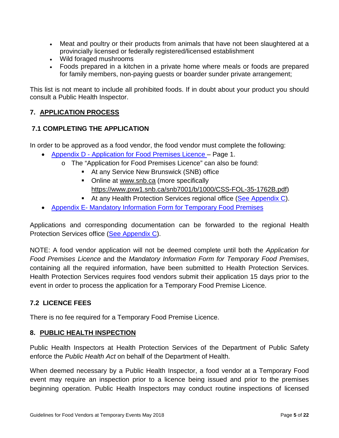- Meat and poultry or their products from animals that have not been slaughtered at a provincially licensed or federally registered/licensed establishment
- Wild foraged mushrooms
- Foods prepared in a kitchen in a private home where meals or foods are prepared for family members, non-paying guests or boarder sunder private arrangement;

This list is not meant to include all prohibited foods. If in doubt about your product you should consult a Public Health Inspector.

### <span id="page-6-0"></span>**7. APPLICATION PROCESS**

#### <span id="page-6-1"></span>**7.1 COMPLETING THE APPLICATION**

In order to be approved as a food vendor, the food vendor must complete the following:

- Appendix D [Application for Food Premises Licence](#page-17-0) Page 1.
	- o The "Application for Food Premises Licence" can also be found:
		- **At any Service New Brunswick (SNB) office**
		- Online at [www.snb.ca](http://www.snb.ca/) (more specifically [https://www.pxw1.snb.ca/snb7001/b/1000/CSS-FOL-35-1762B.pdf\)](https://www.pxw1.snb.ca/snb7001/b/1000/CSS-FOL-35-1762B.pdf)
		- At any Health Protection Services regional office [\(See Appendix C\)](#page-16-0).
- Appendix E- [Mandatory Information Form for Temporary Food Premises](#page-19-0)

Applications and corresponding documentation can be forwarded to the regional Health Protection Services office [\(See Appendix C\)](#page-16-0).

NOTE: A food vendor application will not be deemed complete until both the *Application for Food Premises Licence* and the *Mandatory Information Form for Temporary Food Premises*, containing all the required information, have been submitted to Health Protection Services. Health Protection Services requires food vendors submit their application 15 days prior to the event in order to process the application for a Temporary Food Premise Licence.

#### <span id="page-6-2"></span>**7.2 LICENCE FEES**

There is no fee required for a Temporary Food Premise Licence.

#### <span id="page-6-3"></span>**8. PUBLIC HEALTH INSPECTION**

Public Health Inspectors at Health Protection Services of the Department of Public Safety enforce the *Public Health Act* on behalf of the Department of Health.

When deemed necessary by a Public Health Inspector, a food vendor at a Temporary Food event may require an inspection prior to a licence being issued and prior to the premises beginning operation. Public Health Inspectors may conduct routine inspections of licensed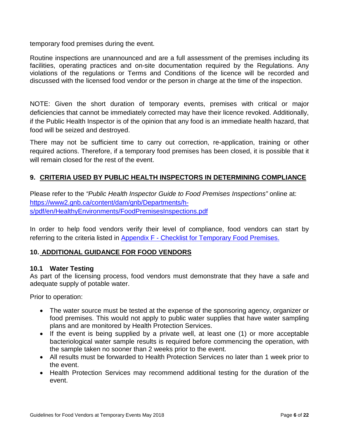temporary food premises during the event.

Routine inspections are unannounced and are a full assessment of the premises including its facilities, operating practices and on-site documentation required by the Regulations. Any violations of the regulations or Terms and Conditions of the licence will be recorded and discussed with the licensed food vendor or the person in charge at the time of the inspection.

NOTE: Given the short duration of temporary events, premises with critical or major deficiencies that cannot be immediately corrected may have their licence revoked. Additionally, if the Public Health Inspector is of the opinion that any food is an immediate health hazard, that food will be seized and destroyed.

There may not be sufficient time to carry out correction, re-application, training or other required actions. Therefore, if a temporary food premises has been closed, it is possible that it will remain closed for the rest of the event.

### <span id="page-7-0"></span>**9. CRITERIA USED BY PUBLIC HEALTH INSPECTORS IN DETERMINING COMPLIANCE**

Please refer to the *"Public Health Inspector Guide to Food Premises Inspections"* online at: [https://www2.gnb.ca/content/dam/gnb/Departments/h](https://www2.gnb.ca/content/dam/gnb/Departments/h-s/pdf/en/HealthyEnvironments/FoodPremisesInspections.pdf)[s/pdf/en/HealthyEnvironments/FoodPremisesInspections.pdf](https://www2.gnb.ca/content/dam/gnb/Departments/h-s/pdf/en/HealthyEnvironments/FoodPremisesInspections.pdf)

In order to help food vendors verify their level of compliance, food vendors can start by referring to the criteria listed in Appendix F - [Checklist for Temporary Food Premises.](#page-25-0)

#### <span id="page-7-1"></span>**10. ADDITIONAL GUIDANCE FOR FOOD VENDORS**

#### <span id="page-7-2"></span>**10.1 Water Testing**

As part of the licensing process, food vendors must demonstrate that they have a safe and adequate supply of potable water.

Prior to operation:

- The water source must be tested at the expense of the sponsoring agency, organizer or food premises. This would not apply to public water supplies that have water sampling plans and are monitored by Health Protection Services.
- If the event is being supplied by a private well, at least one (1) or more acceptable bacteriological water sample results is required before commencing the operation, with the sample taken no sooner than 2 weeks prior to the event.
- All results must be forwarded to Health Protection Services no later than 1 week prior to the event.
- Health Protection Services may recommend additional testing for the duration of the event.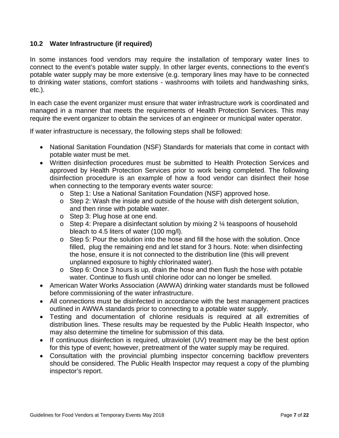#### <span id="page-8-0"></span>**10.2 Water Infrastructure (if required)**

In some instances food vendors may require the installation of temporary water lines to connect to the event's potable water supply. In other larger events, connections to the event's potable water supply may be more extensive (e.g. temporary lines may have to be connected to drinking water stations, comfort stations - washrooms with toilets and handwashing sinks, etc.).

In each case the event organizer must ensure that water infrastructure work is coordinated and managed in a manner that meets the requirements of Health Protection Services. This may require the event organizer to obtain the services of an engineer or municipal water operator.

If water infrastructure is necessary, the following steps shall be followed:

- National Sanitation Foundation (NSF) Standards for materials that come in contact with potable water must be met.
- Written disinfection procedures must be submitted to Health Protection Services and approved by Health Protection Services prior to work being completed. The following disinfection procedure is an example of how a food vendor can disinfect their hose when connecting to the temporary events water source:
	- o Step 1: Use a National Sanitation Foundation (NSF) approved hose.
	- o Step 2: Wash the inside and outside of the house with dish detergent solution, and then rinse with potable water.
	- o Step 3: Plug hose at one end.
	- $\circ$  Step 4: Prepare a disinfectant solution by mixing 2  $\frac{1}{4}$  teaspoons of household bleach to 4.5 liters of water (100 mg/l).
	- o Step 5: Pour the solution into the hose and fill the hose with the solution. Once filled, plug the remaining end and let stand for 3 hours. Note: when disinfecting the hose, ensure it is not connected to the distribution line (this will prevent unplanned exposure to highly chlorinated water).
	- o Step 6: Once 3 hours is up, drain the hose and then flush the hose with potable water. Continue to flush until chlorine odor can no longer be smelled.
- American Water Works Association (AWWA) drinking water standards must be followed before commissioning of the water infrastructure.
- All connections must be disinfected in accordance with the best management practices outlined in AWWA standards prior to connecting to a potable water supply.
- Testing and documentation of chlorine residuals is required at all extremities of distribution lines. These results may be requested by the Public Health Inspector, who may also determine the timeline for submission of this data.
- If continuous disinfection is required, ultraviolet (UV) treatment may be the best option for this type of event; however, pretreatment of the water supply may be required.
- Consultation with the provincial plumbing inspector concerning backflow preventers should be considered. The Public Health Inspector may request a copy of the plumbing inspector's report.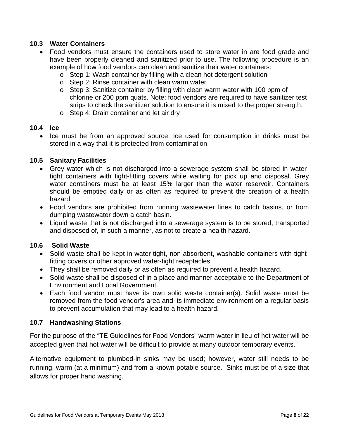#### <span id="page-9-0"></span>**10.3 Water Containers**

- Food vendors must ensure the containers used to store water in are food grade and have been properly cleaned and sanitized prior to use. The following procedure is an example of how food vendors can clean and sanitize their water containers:
	- o Step 1: Wash container by filling with a clean hot detergent solution
	- o Step 2: Rinse container with clean warm water
	- o Step 3: Sanitize container by filling with clean warm water with 100 ppm of chlorine or 200 ppm quats. Note: food vendors are required to have sanitizer test strips to check the sanitizer solution to ensure it is mixed to the proper strength.
	- o Step 4: Drain container and let air dry

#### <span id="page-9-1"></span>**10.4 Ice**

• Ice must be from an approved source. Ice used for consumption in drinks must be stored in a way that it is protected from contamination.

#### <span id="page-9-2"></span>**10.5 Sanitary Facilities**

- Grey water which is not discharged into a sewerage system shall be stored in watertight containers with tight-fitting covers while waiting for pick up and disposal. Grey water containers must be at least 15% larger than the water reservoir. Containers should be emptied daily or as often as required to prevent the creation of a health hazard.
- Food vendors are prohibited from running wastewater lines to catch basins, or from dumping wastewater down a catch basin.
- Liquid waste that is not discharged into a sewerage system is to be stored, transported and disposed of, in such a manner, as not to create a health hazard.

#### **10.6 Solid Waste**

- <span id="page-9-3"></span>• Solid waste shall be kept in water-tight, non-absorbent, washable containers with tightfitting covers or other approved water-tight receptacles.
- They shall be removed daily or as often as required to prevent a health hazard.
- Solid waste shall be disposed of in a place and manner acceptable to the Department of Environment and Local Government.
- Each food vendor must have its own solid waste container(s). Solid waste must be removed from the food vendor's area and its immediate environment on a regular basis to prevent accumulation that may lead to a health hazard.

#### <span id="page-9-4"></span>**10.7 Handwashing Stations**

For the purpose of the "TE Guidelines for Food Vendors" warm water in lieu of hot water will be accepted given that hot water will be difficult to provide at many outdoor temporary events.

Alternative equipment to plumbed-in sinks may be used; however, water still needs to be running, warm (at a minimum) and from a known potable source. Sinks must be of a size that allows for proper hand washing.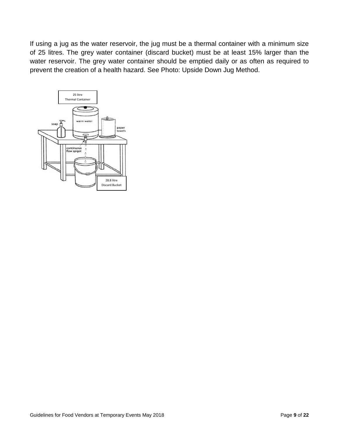If using a jug as the water reservoir, the jug must be a thermal container with a minimum size of 25 litres. The grey water container (discard bucket) must be at least 15% larger than the water reservoir. The grey water container should be emptied daily or as often as required to prevent the creation of a health hazard. See Photo: Upside Down Jug Method.

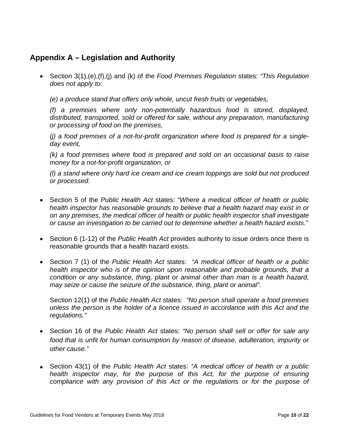## <span id="page-11-0"></span>**Appendix A – Legislation and Authority**

• Section 3(1),(e),(f),(j) and (k) of the *Food Premises Regulation* states: *"This Regulation does not apply to:* 

*(e) a produce stand that offers only whole, uncut fresh fruits or vegetables,*

*(f) a premises where only non-potentially hazardous food is stored, displayed, distributed, transported, sold or offered for sale, without any preparation, manufacturing or processing of food on the premises,*

*(j) a food premises of a not-for-profit organization where food is prepared for a singleday event,*

*(k) a food premises where food is prepared and sold on an occasional basis to raise money for a not-for-profit organization, or* 

*(l) a stand where only hard ice cream and ice cream toppings are sold but not produced or processed.*

- Section 5 of the *Public Health Act* states: *"Where a medical officer of health or public health inspector has reasonable grounds to believe that a health hazard may exist in or on any premises, the medical officer of health or public health inspector shall investigate or cause an investigation to be carried out to determine whether a health hazard exists."*
- Section 6 (1-12) of the *Public Health Act* provides authority to issue orders once there is reasonable grounds that a health hazard exists.
- Section 7 (1) of the *Public Health Act* states: *"A medical officer of health or a public health inspector who is of the opinion upon reasonable and probable grounds, that a condition or any substance, thing, plant or animal other than man is a health hazard, may seize or cause the seizure of the substance, thing, plant or animal".*

Section 12(1) of the *Public Health Act* states: *"No person shall operate a food premises unless the person is the holder of a licence issued in accordance with this Act and the regulations."*

- Section 16 of the *Public Health Act* states: *"No person shall sell or offer for sale any food that is unfit for human consumption by reason of disease, adulteration, impurity or other cause."*
- Section 43(1) of the *Public Health Act* states: *"A medical officer of health or a public health inspector may, for the purpose of this Act, for the purpose of ensuring compliance with any provision of this Act or the regulations or for the purpose of*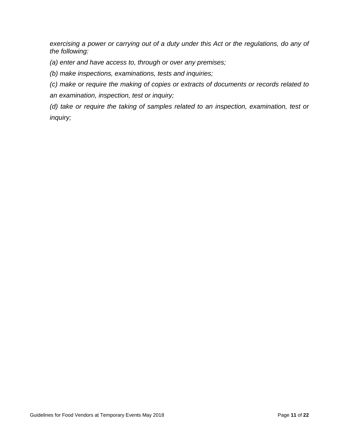*exercising a power or carrying out of a duty under this Act or the regulations, do any of the following:*

- *(a) enter and have access to, through or over any premises;*
- *(b) make inspections, examinations, tests and inquiries;*
- *(c) make or require the making of copies or extracts of documents or records related to*
- *an examination, inspection, test or inquiry;*
- *(d) take or require the taking of samples related to an inspection, examination, test or inquiry;*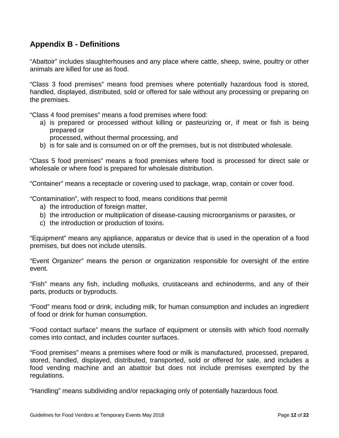## <span id="page-13-0"></span>**Appendix B - Definitions**

"Abattoir" includes slaughterhouses and any place where cattle, sheep, swine, poultry or other animals are killed for use as food.

"Class 3 food premises" means food premises where potentially hazardous food is stored, handled, displayed, distributed, sold or offered for sale without any processing or preparing on the premises.

"Class 4 food premises" means a food premises where food:

- a) is prepared or processed without killing or pasteurizing or, if meat or fish is being prepared or
	- processed, without thermal processing, and
- b) is for sale and is consumed on or off the premises, but is not distributed wholesale.

"Class 5 food premises" means a food premises where food is processed for direct sale or wholesale or where food is prepared for wholesale distribution.

"Container" means a receptacle or covering used to package, wrap, contain or cover food.

"Contamination", with respect to food, means conditions that permit

- a) the introduction of foreign matter,
- b) the introduction or multiplication of disease-causing microorganisms or parasites, or
- c) the introduction or production of toxins.

"Equipment" means any appliance, apparatus or device that is used in the operation of a food premises, but does not include utensils.

"Event Organizer" means the person or organization responsible for oversight of the entire event.

"Fish" means any fish, including mollusks, crustaceans and echinoderms, and any of their parts, products or byproducts.

"Food" means food or drink, including milk, for human consumption and includes an ingredient of food or drink for human consumption.

"Food contact surface" means the surface of equipment or utensils with which food normally comes into contact, and includes counter surfaces.

"Food premises" means a premises where food or milk is manufactured, processed, prepared, stored, handled, displayed, distributed, transported, sold or offered for sale, and includes a food vending machine and an abattoir but does not include premises exempted by the regulations.

"Handling" means subdividing and/or repackaging only of potentially hazardous food.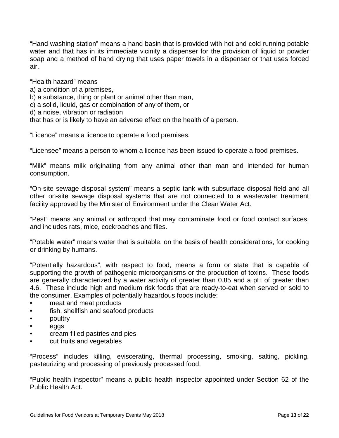"Hand washing station" means a hand basin that is provided with hot and cold running potable water and that has in its immediate vicinity a dispenser for the provision of liquid or powder soap and a method of hand drying that uses paper towels in a dispenser or that uses forced air.

"Health hazard" means a) a condition of a premises, b) a substance, thing or plant or animal other than man, c) a solid, liquid, gas or combination of any of them, or d) a noise, vibration or radiation that has or is likely to have an adverse effect on the health of a person.

"Licence" means a licence to operate a food premises.

"Licensee" means a person to whom a licence has been issued to operate a food premises.

"Milk" means milk originating from any animal other than man and intended for human consumption.

"On-site sewage disposal system" means a septic tank with subsurface disposal field and all other on-site sewage disposal systems that are not connected to a wastewater treatment facility approved by the Minister of Environment under the Clean Water Act.

"Pest" means any animal or arthropod that may contaminate food or food contact surfaces, and includes rats, mice, cockroaches and flies.

"Potable water" means water that is suitable, on the basis of health considerations, for cooking or drinking by humans.

"Potentially hazardous", with respect to food, means a form or state that is capable of supporting the growth of pathogenic microorganisms or the production of toxins. These foods are generally characterized by a water activity of greater than 0.85 and a pH of greater than 4.6. These include high and medium risk foods that are ready-to-eat when served or sold to the consumer. Examples of potentially hazardous foods include:

- meat and meat products
- fish, shellfish and seafood products
- poultry
- eggs
- cream-filled pastries and pies
- cut fruits and vegetables

"Process" includes killing, eviscerating, thermal processing, smoking, salting, pickling, pasteurizing and processing of previously processed food.

"Public health inspector" means a public health inspector appointed under Section 62 of the Public Health Act.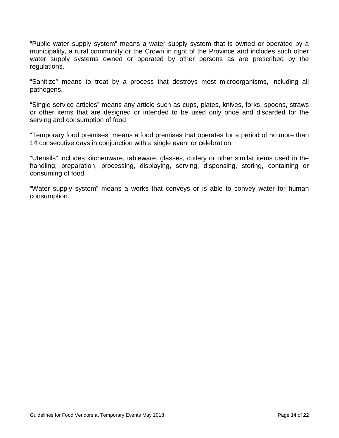"Public water supply system" means a water supply system that is owned or operated by a municipality, a rural community or the Crown in right of the Province and includes such other water supply systems owned or operated by other persons as are prescribed by the regulations.

"Sanitize" means to treat by a process that destroys most microorganisms, including all pathogens.

"Single service articles" means any article such as cups, plates, knives, forks, spoons, straws or other items that are designed or intended to be used only once and discarded for the serving and consumption of food.

"Temporary food premises" means a food premises that operates for a period of no more than 14 consecutive days in conjunction with a single event or celebration.

"Utensils" includes kitchenware, tableware, glasses, cutlery or other similar items used in the handling, preparation, processing, displaying, serving, dispensing, storing, containing or consuming of food.

"Water supply system" means a works that conveys or is able to convey water for human consumption.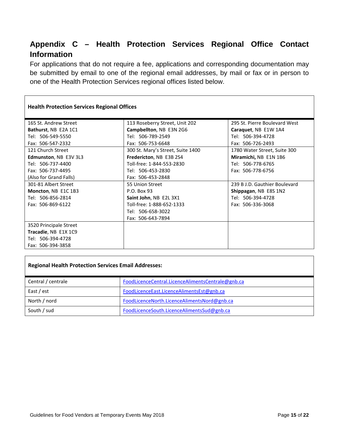# <span id="page-16-0"></span>**Appendix C – Health Protection Services Regional Office Contact Information**

For applications that do not require a fee, applications and corresponding documentation may be submitted by email to one of the regional email addresses, by mail or fax or in person to one of the Health Protection Services regional offices listed below.

| <b>Health Protection Services Regional Offices</b> |                                   |                               |  |  |  |  |  |  |
|----------------------------------------------------|-----------------------------------|-------------------------------|--|--|--|--|--|--|
| 165 St. Andrew Street                              | 113 Roseberry Street, Unit 202    | 295 St. Pierre Boulevard West |  |  |  |  |  |  |
| Bathurst, NB E2A 1C1                               | Campbellton, NB E3N 2G6           | Caraquet, NB E1W 1A4          |  |  |  |  |  |  |
| Tel: 506-549-5550                                  | Tel: 506-789-2549                 | Tel: 506-394-4728             |  |  |  |  |  |  |
| Fax: 506-547-2332                                  | Fax: 506-753-6648                 | Fax: 506-726-2493             |  |  |  |  |  |  |
| 121 Church Street                                  | 300 St. Mary's Street, Suite 1400 | 1780 Water Street, Suite 300  |  |  |  |  |  |  |
| Edmunston, NB E3V 3L3                              | Fredericton, NB E3B 2S4           | Miramichi, NB E1N 1B6         |  |  |  |  |  |  |
| Tel: 506-737-4400                                  | Toll-free: 1-844-553-2830         | Tel: 506-778-6765             |  |  |  |  |  |  |
| Fax: 506-737-4495                                  | Tel: 506-453-2830                 | Fax: 506-778-6756             |  |  |  |  |  |  |
| (Also for Grand Falls)                             | Fax: 506-453-2848                 |                               |  |  |  |  |  |  |
| 301-81 Albert Street                               | 55 Union Street                   | 239 B J.D. Gauthier Boulevard |  |  |  |  |  |  |
| Moncton, NB E1C 1B3                                | P.O. Box 93                       | Shippagan, NB E8S 1N2         |  |  |  |  |  |  |
| Tel: 506-856-2814                                  | Saint John, NB E2L 3X1            | Tel: 506-394-4728             |  |  |  |  |  |  |
| Fax: 506-869-6122                                  | Toll-free: 1-888-652-1333         | Fax: 506-336-3068             |  |  |  |  |  |  |
|                                                    | Tel: 506-658-3022                 |                               |  |  |  |  |  |  |
|                                                    | Fax: 506-643-7894                 |                               |  |  |  |  |  |  |
| 3520 Principale Street                             |                                   |                               |  |  |  |  |  |  |
| Tracadie, NB E1X 1C9                               |                                   |                               |  |  |  |  |  |  |
| Tel: 506-394-4728                                  |                                   |                               |  |  |  |  |  |  |
| Fax: 506-394-3858                                  |                                   |                               |  |  |  |  |  |  |

#### **Regional Health Protection Services Email Addresses:**

| Central / centrale | FoodLicenceCentral.LicenceAlimentsCentrale@gnb.ca |
|--------------------|---------------------------------------------------|
| East / est         | FoodLicenceEast.LicenceAlimentsEst@gnb.ca         |
| North / nord       | FoodLicenceNorth.LicenceAlimentsNord@gnb.ca       |
| South / sud        | FoodLicenceSouth.LicenceAlimentsSud@gnb.ca        |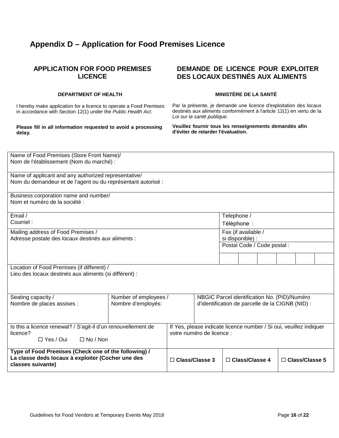# <span id="page-17-0"></span>**Appendix D – Application for Food Premises Licence**

#### **APPLICATION FOR FOOD PREMISES LICENCE**

#### **DEPARTMENT OF HEALTH**

I hereby make application for a licence to operate a Food Premises in accordance with Section 12(1) under the *Public Health Act*.

**Please fill in all information requested to avoid a processing delay.**

#### **DEMANDE DE LICENCE POUR EXPLOITER DES LOCAUX DESTINÉS AUX ALIMENTS**

#### **MINISTÈRE DE LA SANTÉ**

Par la présente, je demande une licence d'exploitation des locaux destinés aux aliments conformément à l'article 12(1) en vertu de la *Loi sur la santé publique.*

**Veuillez fournir tous les renseignements demandés afin d'éviter de retarder l'évaluation.**

| Name of Food Premises (Store Front Name)/<br>Nom de l'établissement (Nom du marché) :                                          |                                                                                                                      |                                                                                                  |  |                            |  |  |                       |  |  |
|--------------------------------------------------------------------------------------------------------------------------------|----------------------------------------------------------------------------------------------------------------------|--------------------------------------------------------------------------------------------------|--|----------------------------|--|--|-----------------------|--|--|
|                                                                                                                                | Name of applicant and any authorized representative/<br>Nom du demandeur et de l'agent ou du représentant autorisé : |                                                                                                  |  |                            |  |  |                       |  |  |
| Business corporation name and number/<br>Nom et numéro de la société :                                                         |                                                                                                                      |                                                                                                  |  |                            |  |  |                       |  |  |
| Email /<br>Courriel:                                                                                                           |                                                                                                                      |                                                                                                  |  | Telephone /<br>Téléphone : |  |  |                       |  |  |
| Mailing address of Food Premises /<br>Adresse postale des locaux destinés aux aliments :                                       |                                                                                                                      | Fax (if available /<br>si disponible) :<br>Postal Code / Code postal :                           |  |                            |  |  |                       |  |  |
|                                                                                                                                |                                                                                                                      |                                                                                                  |  |                            |  |  |                       |  |  |
| Location of Food Premises (if different) /<br>Lieu des locaux destinés aux aliments (si différent) :                           |                                                                                                                      |                                                                                                  |  |                            |  |  |                       |  |  |
| Seating capacity /<br>Nombre de places assises :                                                                               | Number of employees /                                                                                                | NBGIC Parcel identification No. (PID)/Numéro<br>d'identification de parcelle de la CIGNB (NID) : |  |                            |  |  |                       |  |  |
| Is this a licence renewal? / S'agit-il d'un renouvellement de<br>licence?<br>$\Box$ Yes / Oui<br>$\Box$ No / Non               |                                                                                                                      | If Yes, please indicate licence number / Si oui, veuillez indiquer<br>votre numéro de licence :  |  |                            |  |  |                       |  |  |
| Type of Food Premises (Check one of the following) /<br>La classe deds locaux à exploiter (Cocher une des<br>classes suivante) | $\Box$ Class/Classe 3                                                                                                |                                                                                                  |  | $\Box$ Class/Classe 4      |  |  | $\Box$ Class/Classe 5 |  |  |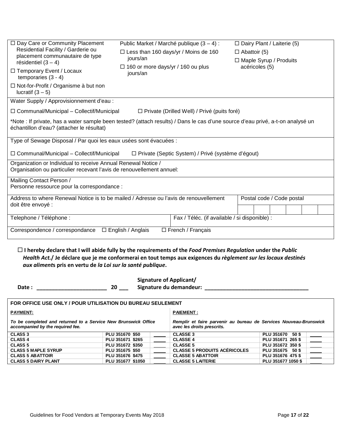| □ Day Care or Community Placement<br>Residential Facility / Garderie ou<br>placement communautaire de type<br>résidentiel $(3 - 4)$<br>□ Temporary Event / Locaux<br>temporaries $(3 - 4)$<br>□ Not-for-Profit / Organisme à but non<br>lucratif $(3 - 5)$ | Public Market / Marché publique (3 – 4) :<br>$\Box$ Less than 160 days/yr / Moins de 160<br>jours/an<br>$\Box$ 160 or more days/yr / 160 ou plus<br>jours/an |                                                    | $\Box$ Dairy Plant / Laiterie (5)<br>$\Box$ Abattoir (5)<br>□ Maple Syrup / Produits<br>acéricoles (5) |  |  |  |  |  |
|------------------------------------------------------------------------------------------------------------------------------------------------------------------------------------------------------------------------------------------------------------|--------------------------------------------------------------------------------------------------------------------------------------------------------------|----------------------------------------------------|--------------------------------------------------------------------------------------------------------|--|--|--|--|--|
| Water Supply / Approvisionnement d'eau :                                                                                                                                                                                                                   |                                                                                                                                                              |                                                    |                                                                                                        |  |  |  |  |  |
| $\Box$ Communal/Municipal – Collectif/Municipal                                                                                                                                                                                                            |                                                                                                                                                              | $\Box$ Private (Drilled Well) / Privé (puits foré) |                                                                                                        |  |  |  |  |  |
| *Note : If private, has a water sample been tested? (attach results) / Dans le cas d'une source d'eau privé, a-t-on analysé un<br>échantillon d'eau? (attacher le résultat)                                                                                |                                                                                                                                                              |                                                    |                                                                                                        |  |  |  |  |  |
| Type of Sewage Disposal / Par quoi les eaux usées sont évacuées :                                                                                                                                                                                          |                                                                                                                                                              |                                                    |                                                                                                        |  |  |  |  |  |
| $\Box$ Communal/Municipal – Collectif/Municipal<br>□ Private (Septic System) / Privé (système d'égout)                                                                                                                                                     |                                                                                                                                                              |                                                    |                                                                                                        |  |  |  |  |  |
| Organization or Individual to receive Annual Renewal Notice /<br>Organisation ou particulier recevant l'avis de renouvellement annuel:                                                                                                                     |                                                                                                                                                              |                                                    |                                                                                                        |  |  |  |  |  |
| Mailing Contact Person /<br>Personne ressource pour la correspondance :                                                                                                                                                                                    |                                                                                                                                                              |                                                    |                                                                                                        |  |  |  |  |  |
|                                                                                                                                                                                                                                                            | Address to where Renewal Notice is to be mailed / Adresse ou l'avis de renouvellement<br>Postal code / Code postal                                           |                                                    |                                                                                                        |  |  |  |  |  |
| doit être envoyé :                                                                                                                                                                                                                                         |                                                                                                                                                              |                                                    |                                                                                                        |  |  |  |  |  |
| Telephone / Téléphone :                                                                                                                                                                                                                                    |                                                                                                                                                              | Fax / Téléc. (if available / si disponible) :      |                                                                                                        |  |  |  |  |  |
| $\Box$ French / Français<br>Correspondence / correspondance □ English / Anglais                                                                                                                                                                            |                                                                                                                                                              |                                                    |                                                                                                        |  |  |  |  |  |

 **I hereby declare that I will abide fully by the requirements of the** *Food Premises Regulation* **under the** *Public Health Act.***/ Je déclare que je me conformerai en tout temps aux exigences du** *règlement sur les locaux destinés aux aliment***s pris en vertu de** *la Loi sur la santé publique***.**

|                     | <b>Signature of Applicant/</b> |
|---------------------|--------------------------------|
| 20<br><b>Date :</b> | Signature du demandeur:        |

| FOR OFFICE USE ONLY / POUR UTILISATION DU BUREAU SEULEMENT                                         |                   |                                                                                                 |                          |                    |  |  |
|----------------------------------------------------------------------------------------------------|-------------------|-------------------------------------------------------------------------------------------------|--------------------------|--------------------|--|--|
| <b>PAYMENT:</b>                                                                                    |                   | <b>PAIEMENT:</b>                                                                                |                          |                    |  |  |
| To be completed and returned to a Service New Brunswick Office<br>accompanied by the required fee. |                   | Remplir et faire parvenir au bureau de Services Nouveau-Brunswick<br>avec les droits prescrits. |                          |                    |  |  |
| <b>CLASS 3</b>                                                                                     | PLU 351670 \$50   |                                                                                                 | <b>CLASSE 3</b>          | PLU 351670 50 \$   |  |  |
| <b>CLASS 4</b>                                                                                     | PLU 351671 \$265  |                                                                                                 | <b>CLASSE 4</b>          | PLU 351671 265 \$  |  |  |
| <b>CLASS 5</b>                                                                                     | PLU 351672 \$350  |                                                                                                 | <b>CLASSE 5</b>          | PLU 351672 350 \$  |  |  |
| <b>CLASS 5 MAPLE SYRUP</b>                                                                         | PLU 351675 \$50   | <b>CLASSE 5 PRODUITS ACERICOLES</b>                                                             | PLU 351675 50 \$         |                    |  |  |
| <b>CLASS 5 ABATTOIR</b>                                                                            | PLU 351676 \$475  |                                                                                                 | <b>CLASSE 5 ABATTOIR</b> | PLU 351676 475 \$  |  |  |
| <b>CLASS 5 DAIRY PLANT</b>                                                                         | PLU 351677 \$1050 |                                                                                                 | <b>CLASSE 5 LAITERIE</b> | PLU 351677 1050 \$ |  |  |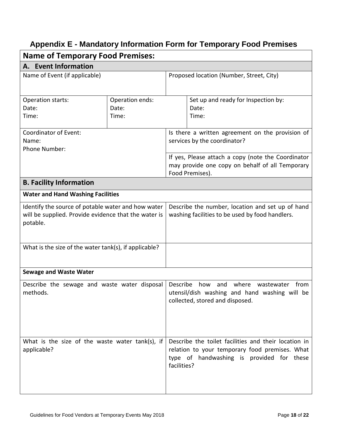# <span id="page-19-0"></span>**Appendix E - Mandatory Information Form for Temporary Food Premises**

| <b>Name of Temporary Food Premises:</b>                                                                                |                                   |                                                                                                     |                                                                                                                                                                    |  |  |  |  |
|------------------------------------------------------------------------------------------------------------------------|-----------------------------------|-----------------------------------------------------------------------------------------------------|--------------------------------------------------------------------------------------------------------------------------------------------------------------------|--|--|--|--|
| A. Event Information                                                                                                   |                                   |                                                                                                     |                                                                                                                                                                    |  |  |  |  |
| Name of Event (if applicable)                                                                                          |                                   | Proposed location (Number, Street, City)                                                            |                                                                                                                                                                    |  |  |  |  |
| Operation starts:<br>Date:<br>Time:                                                                                    | Operation ends:<br>Date:<br>Time: |                                                                                                     | Set up and ready for Inspection by:<br>Date:<br>Time:                                                                                                              |  |  |  |  |
| Coordinator of Event:<br>Name:<br>Phone Number:                                                                        |                                   |                                                                                                     | Is there a written agreement on the provision of<br>services by the coordinator?                                                                                   |  |  |  |  |
|                                                                                                                        |                                   |                                                                                                     | If yes, Please attach a copy (note the Coordinator<br>may provide one copy on behalf of all Temporary<br>Food Premises).                                           |  |  |  |  |
| <b>B. Facility Information</b>                                                                                         |                                   |                                                                                                     |                                                                                                                                                                    |  |  |  |  |
| <b>Water and Hand Washing Facilities</b>                                                                               |                                   |                                                                                                     |                                                                                                                                                                    |  |  |  |  |
| Identify the source of potable water and how water<br>will be supplied. Provide evidence that the water is<br>potable. |                                   | Describe the number, location and set up of hand<br>washing facilities to be used by food handlers. |                                                                                                                                                                    |  |  |  |  |
| What is the size of the water tank(s), if applicable?                                                                  |                                   |                                                                                                     |                                                                                                                                                                    |  |  |  |  |
| <b>Sewage and Waste Water</b>                                                                                          |                                   |                                                                                                     |                                                                                                                                                                    |  |  |  |  |
| Describe the sewage and waste water disposal<br>methods.                                                               |                                   | Describe                                                                                            | where<br>from<br>how<br>and<br>wastewater<br>utensil/dish washing and hand washing will be<br>collected, stored and disposed.                                      |  |  |  |  |
| What is the size of the waste water tank(s), if<br>applicable?                                                         |                                   |                                                                                                     | Describe the toilet facilities and their location in<br>relation to your temporary food premises. What<br>type of handwashing is provided for these<br>facilities? |  |  |  |  |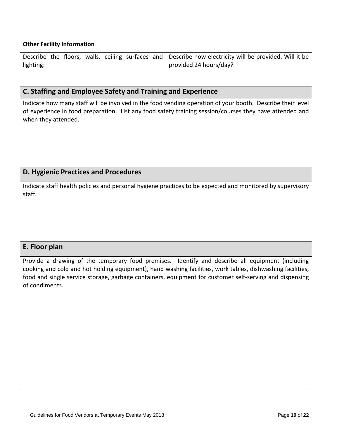| <b>Other Facility Information</b> |  |  |  |  |  |                                                                                                                                  |  |  |
|-----------------------------------|--|--|--|--|--|----------------------------------------------------------------------------------------------------------------------------------|--|--|
| lighting:                         |  |  |  |  |  | Describe the floors, walls, ceiling surfaces and Describe how electricity will be provided. Will it be<br>provided 24 hours/day? |  |  |

# **C. Staffing and Employee Safety and Training and Experience**

Indicate how many staff will be involved in the food vending operation of your booth. Describe their level of experience in food preparation. List any food safety training session/courses they have attended and when they attended.

## **D. Hygienic Practices and Procedures**

Indicate staff health policies and personal hygiene practices to be expected and monitored by supervisory staff.

### **E. Floor plan**

Provide a drawing of the temporary food premises. Identify and describe all equipment (including cooking and cold and hot holding equipment), hand washing facilities, work tables, dishwashing facilities, food and single service storage, garbage containers, equipment for customer self-serving and dispensing of condiments.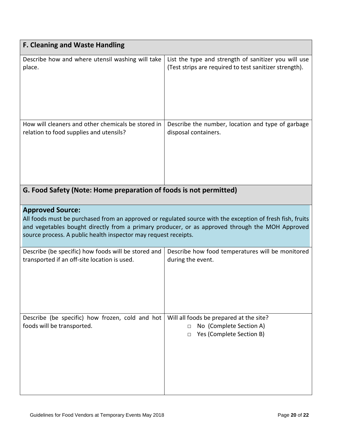| <b>F. Cleaning and Waste Handling</b>                                         |                                                                                                           |
|-------------------------------------------------------------------------------|-----------------------------------------------------------------------------------------------------------|
| Describe how and where utensil washing will take                              | List the type and strength of sanitizer you will use                                                      |
| place.                                                                        | (Test strips are required to test sanitizer strength).                                                    |
| How will cleaners and other chemicals be stored in                            | Describe the number, location and type of garbage                                                         |
| relation to food supplies and utensils?                                       | disposal containers.                                                                                      |
| G. Food Safety (Note: Home preparation of foods is not permitted)             |                                                                                                           |
| <b>Approved Source:</b>                                                       | All foods must be purchased from an approved or regulated source with the exception of fresh fish, fruits |
| source process. A public health inspector may request receipts.               | and vegetables bought directly from a primary producer, or as approved through the MOH Approved           |
| Describe (be specific) how foods will be stored and                           | Describe how food temperatures will be monitored                                                          |
| transported if an off-site location is used.                                  | during the event.                                                                                         |
| Describe (be specific) how frozen, cold and hot<br>foods will be transported. | Will all foods be prepared at the site?<br>No (Complete Section A)<br>п<br>Yes (Complete Section B)<br>П  |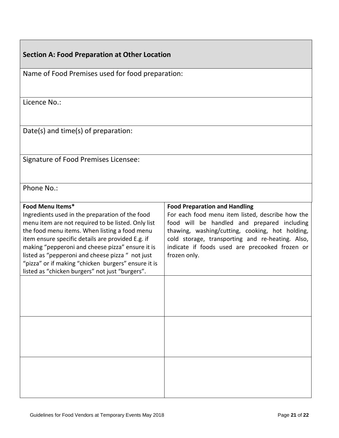# **Section A: Food Preparation at Other Location**

| Name of Food Premises used for food preparation:                                                       |                                                                                                |  |  |  |  |  |
|--------------------------------------------------------------------------------------------------------|------------------------------------------------------------------------------------------------|--|--|--|--|--|
|                                                                                                        |                                                                                                |  |  |  |  |  |
|                                                                                                        |                                                                                                |  |  |  |  |  |
| Licence No.:                                                                                           |                                                                                                |  |  |  |  |  |
|                                                                                                        |                                                                                                |  |  |  |  |  |
| Date(s) and time(s) of preparation:                                                                    |                                                                                                |  |  |  |  |  |
|                                                                                                        |                                                                                                |  |  |  |  |  |
|                                                                                                        |                                                                                                |  |  |  |  |  |
| Signature of Food Premises Licensee:                                                                   |                                                                                                |  |  |  |  |  |
|                                                                                                        |                                                                                                |  |  |  |  |  |
| Phone No.:                                                                                             |                                                                                                |  |  |  |  |  |
|                                                                                                        |                                                                                                |  |  |  |  |  |
| Food Menu Items*                                                                                       | <b>Food Preparation and Handling</b>                                                           |  |  |  |  |  |
| Ingredients used in the preparation of the food                                                        | For each food menu item listed, describe how the                                               |  |  |  |  |  |
| menu item are not required to be listed. Only list<br>the food menu items. When listing a food menu    | food will be handled and prepared including<br>thawing, washing/cutting, cooking, hot holding, |  |  |  |  |  |
| item ensure specific details are provided E.g. if                                                      | cold storage, transporting and re-heating. Also,                                               |  |  |  |  |  |
| making "pepperoni and cheese pizza" ensure it is                                                       | indicate if foods used are precooked frozen or                                                 |  |  |  |  |  |
| listed as "pepperoni and cheese pizza " not just                                                       | frozen only.                                                                                   |  |  |  |  |  |
| "pizza" or if making "chicken burgers" ensure it is<br>listed as "chicken burgers" not just "burgers". |                                                                                                |  |  |  |  |  |
|                                                                                                        |                                                                                                |  |  |  |  |  |
|                                                                                                        |                                                                                                |  |  |  |  |  |
|                                                                                                        |                                                                                                |  |  |  |  |  |
|                                                                                                        |                                                                                                |  |  |  |  |  |
|                                                                                                        |                                                                                                |  |  |  |  |  |
|                                                                                                        |                                                                                                |  |  |  |  |  |
|                                                                                                        |                                                                                                |  |  |  |  |  |
|                                                                                                        |                                                                                                |  |  |  |  |  |
|                                                                                                        |                                                                                                |  |  |  |  |  |
|                                                                                                        |                                                                                                |  |  |  |  |  |
|                                                                                                        |                                                                                                |  |  |  |  |  |
|                                                                                                        |                                                                                                |  |  |  |  |  |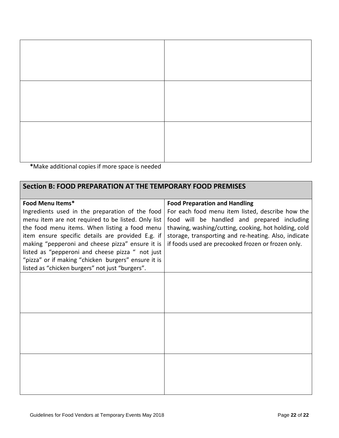**\***Make additional copies if more space is needed

## **Section B: FOOD PREPARATION AT THE TEMPORARY FOOD PREMISES**

| Food Menu Items*                                    | <b>Food Preparation and Handling</b>                 |
|-----------------------------------------------------|------------------------------------------------------|
| Ingredients used in the preparation of the food     | For each food menu item listed, describe how the     |
| menu item are not required to be listed. Only list  | food will be handled and prepared including          |
| the food menu items. When listing a food menu       | thawing, washing/cutting, cooking, hot holding, cold |
| item ensure specific details are provided E.g. if   | storage, transporting and re-heating. Also, indicate |
| making "pepperoni and cheese pizza" ensure it is    | if foods used are precooked frozen or frozen only.   |
| listed as "pepperoni and cheese pizza " not just    |                                                      |
| "pizza" or if making "chicken burgers" ensure it is |                                                      |
| listed as "chicken burgers" not just "burgers".     |                                                      |
|                                                     |                                                      |
|                                                     |                                                      |
|                                                     |                                                      |
|                                                     |                                                      |
|                                                     |                                                      |
|                                                     |                                                      |
|                                                     |                                                      |
|                                                     |                                                      |
|                                                     |                                                      |
|                                                     |                                                      |
|                                                     |                                                      |
|                                                     |                                                      |
|                                                     |                                                      |
|                                                     |                                                      |
|                                                     |                                                      |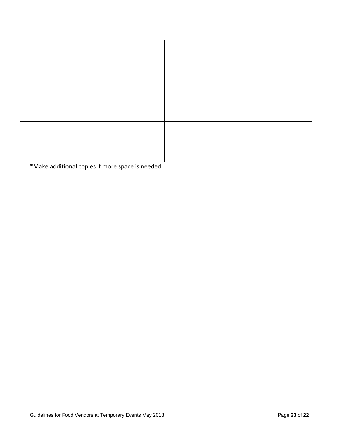**\***Make additional copies if more space is needed